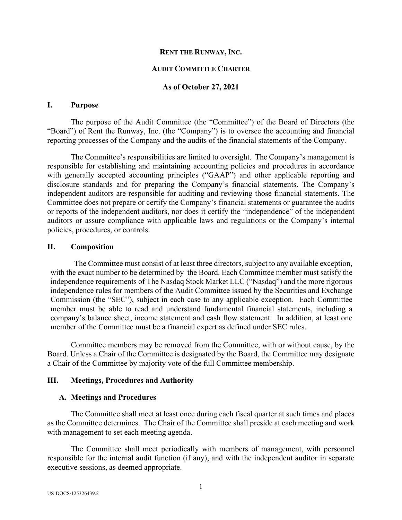### **RENT THE RUNWAY, INC.**

### **AUDIT COMMITTEE CHARTER**

### **As of October 27, 2021**

#### **I. Purpose**

The purpose of the Audit Committee (the "Committee") of the Board of Directors (the "Board") of Rent the Runway, Inc. (the "Company") is to oversee the accounting and financial reporting processes of the Company and the audits of the financial statements of the Company.

The Committee's responsibilities are limited to oversight. The Company's management is responsible for establishing and maintaining accounting policies and procedures in accordance with generally accepted accounting principles ("GAAP") and other applicable reporting and disclosure standards and for preparing the Company's financial statements. The Company's independent auditors are responsible for auditing and reviewing those financial statements. The Committee does not prepare or certify the Company's financial statements or guarantee the audits or reports of the independent auditors, nor does it certify the "independence" of the independent auditors or assure compliance with applicable laws and regulations or the Company's internal policies, procedures, or controls.

### **II. Composition**

The Committee must consist of at least three directors, subject to any available exception, with the exact number to be determined by the Board. Each Committee member must satisfy the independence requirements of The Nasdaq Stock Market LLC ("Nasdaq") and the more rigorous independence rules for members of the Audit Committee issued by the Securities and Exchange Commission (the "SEC"), subject in each case to any applicable exception. Each Committee member must be able to read and understand fundamental financial statements, including a company's balance sheet, income statement and cash flow statement. In addition, at least one member of the Committee must be a financial expert as defined under SEC rules.

Committee members may be removed from the Committee, with or without cause, by the Board. Unless a Chair of the Committee is designated by the Board, the Committee may designate a Chair of the Committee by majority vote of the full Committee membership.

### **III. Meetings, Procedures and Authority**

#### **A. Meetings and Procedures**

The Committee shall meet at least once during each fiscal quarter at such times and places as the Committee determines. The Chair of the Committee shall preside at each meeting and work with management to set each meeting agenda.

The Committee shall meet periodically with members of management, with personnel responsible for the internal audit function (if any), and with the independent auditor in separate executive sessions, as deemed appropriate.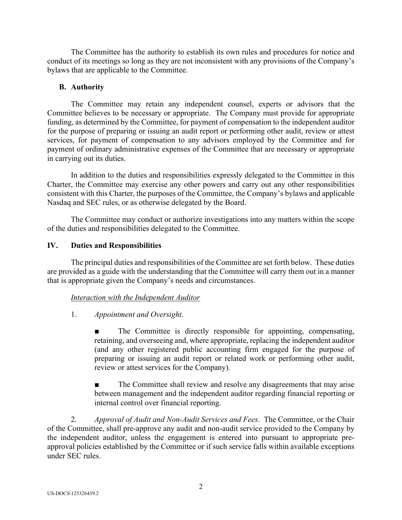The Committee has the authority to establish its own rules and procedures for notice and conduct of its meetings so long as they are not inconsistent with any provisions of the Company's bylaws that are applicable to the Committee.

### **B. Authority**

The Committee may retain any independent counsel, experts or advisors that the Committee believes to be necessary or appropriate. The Company must provide for appropriate funding, as determined by the Committee, for payment of compensation to the independent auditor for the purpose of preparing or issuing an audit report or performing other audit, review or attest services, for payment of compensation to any advisors employed by the Committee and for payment of ordinary administrative expenses of the Committee that are necessary or appropriate in carrying out its duties.

In addition to the duties and responsibilities expressly delegated to the Committee in this Charter, the Committee may exercise any other powers and carry out any other responsibilities consistent with this Charter, the purposes of the Committee, the Company's bylaws and applicable Nasdaq and SEC rules, or as otherwise delegated by the Board.

The Committee may conduct or authorize investigations into any matters within the scope of the duties and responsibilities delegated to the Committee.

## **IV. Duties and Responsibilities**

The principal duties and responsibilities of the Committee are set forth below. These duties are provided as a guide with the understanding that the Committee will carry them out in a manner that is appropriate given the Company's needs and circumstances.

# *Interaction with the Independent Auditor*

### 1. *Appointment and Oversight*.

The Committee is directly responsible for appointing, compensating, retaining, and overseeing and, where appropriate, replacing the independent auditor (and any other registered public accounting firm engaged for the purpose of preparing or issuing an audit report or related work or performing other audit, review or attest services for the Company).

The Committee shall review and resolve any disagreements that may arise between management and the independent auditor regarding financial reporting or internal control over financial reporting.

2. *Approval of Audit and Non-Audit Services and Fees*. The Committee, or the Chair of the Committee, shall pre-approve any audit and non-audit service provided to the Company by the independent auditor, unless the engagement is entered into pursuant to appropriate preapproval policies established by the Committee or if such service falls within available exceptions under SEC rules.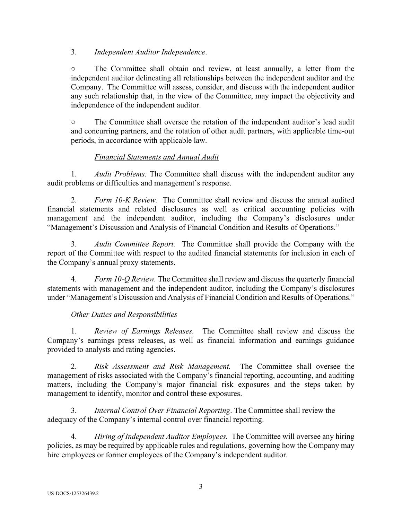## 3. *Independent Auditor Independence*.

**○** The Committee shall obtain and review, at least annually, a letter from the independent auditor delineating all relationships between the independent auditor and the Company. The Committee will assess, consider, and discuss with the independent auditor any such relationship that, in the view of the Committee, may impact the objectivity and independence of the independent auditor.

**○** The Committee shall oversee the rotation of the independent auditor's lead audit and concurring partners, and the rotation of other audit partners, with applicable time-out periods, in accordance with applicable law.

# *Financial Statements and Annual Audit*

1. *Audit Problems.* The Committee shall discuss with the independent auditor any audit problems or difficulties and management's response.

2. *Form 10-K Review.* The Committee shall review and discuss the annual audited financial statements and related disclosures as well as critical accounting policies with management and the independent auditor, including the Company's disclosures under "Management's Discussion and Analysis of Financial Condition and Results of Operations."

3. *Audit Committee Report.* The Committee shall provide the Company with the report of the Committee with respect to the audited financial statements for inclusion in each of the Company's annual proxy statements.

4. *Form 10-Q Review.* The Committee shall review and discuss the quarterly financial statements with management and the independent auditor, including the Company's disclosures under "Management's Discussion and Analysis of Financial Condition and Results of Operations."

# *Other Duties and Responsibilities*

1. *Review of Earnings Releases.* The Committee shall review and discuss the Company's earnings press releases, as well as financial information and earnings guidance provided to analysts and rating agencies.

2. *Risk Assessment and Risk Management.* The Committee shall oversee the management of risks associated with the Company's financial reporting, accounting, and auditing matters, including the Company's major financial risk exposures and the steps taken by management to identify, monitor and control these exposures.

3. *Internal Control Over Financial Reporting*. The Committee shall review the adequacy of the Company's internal control over financial reporting.

4. *Hiring of Independent Auditor Employees.* The Committee will oversee any hiring policies, as may be required by applicable rules and regulations, governing how the Company may hire employees or former employees of the Company's independent auditor.